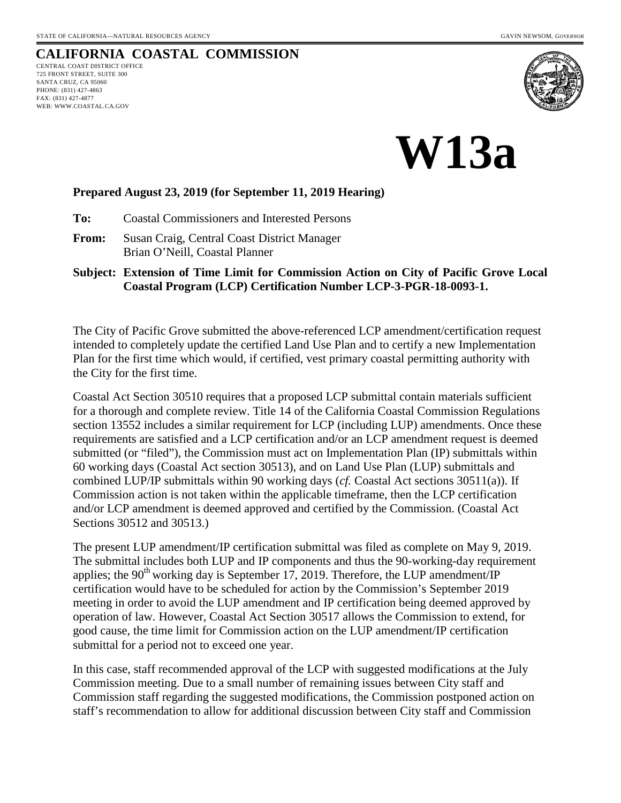WEB: WWW.COASTAL.CA.GOV

## **CALIFORNIA COASTAL COMMISSION** CENTRAL COAST DISTRICT OFFICE 725 FRONT STREET, SUITE 300 SANTA CRUZ, CA 95060 PHONE: (831) 427-4863 FAX: (831) 427-4877



**W13a**

## **Prepared August 23, 2019 (for September 11, 2019 Hearing)**

**To:** Coastal Commissioners and Interested Persons

**From:** Susan Craig, Central Coast District Manager Brian O'Neill, Coastal Planner

## **Subject: Extension of Time Limit for Commission Action on City of Pacific Grove Local Coastal Program (LCP) Certification Number LCP-3-PGR-18-0093-1.**

The City of Pacific Grove submitted the above-referenced LCP amendment/certification request intended to completely update the certified Land Use Plan and to certify a new Implementation Plan for the first time which would, if certified, vest primary coastal permitting authority with the City for the first time.

Coastal Act Section 30510 requires that a proposed LCP submittal contain materials sufficient for a thorough and complete review. Title 14 of the California Coastal Commission Regulations section 13552 includes a similar requirement for LCP (including LUP) amendments. Once these requirements are satisfied and a LCP certification and/or an LCP amendment request is deemed submitted (or "filed"), the Commission must act on Implementation Plan (IP) submittals within 60 working days (Coastal Act section 30513), and on Land Use Plan (LUP) submittals and combined LUP/IP submittals within 90 working days (*cf.* Coastal Act sections 30511(a)). If Commission action is not taken within the applicable timeframe, then the LCP certification and/or LCP amendment is deemed approved and certified by the Commission. (Coastal Act Sections 30512 and 30513.)

The present LUP amendment/IP certification submittal was filed as complete on May 9, 2019. The submittal includes both LUP and IP components and thus the 90-working-day requirement applies; the  $90<sup>th</sup>$  working day is September 17, 2019. Therefore, the LUP amendment/IP certification would have to be scheduled for action by the Commission's September 2019 meeting in order to avoid the LUP amendment and IP certification being deemed approved by operation of law. However, Coastal Act Section 30517 allows the Commission to extend, for good cause, the time limit for Commission action on the LUP amendment/IP certification submittal for a period not to exceed one year.

In this case, staff recommended approval of the LCP with suggested modifications at the July Commission meeting. Due to a small number of remaining issues between City staff and Commission staff regarding the suggested modifications, the Commission postponed action on staff's recommendation to allow for additional discussion between City staff and Commission